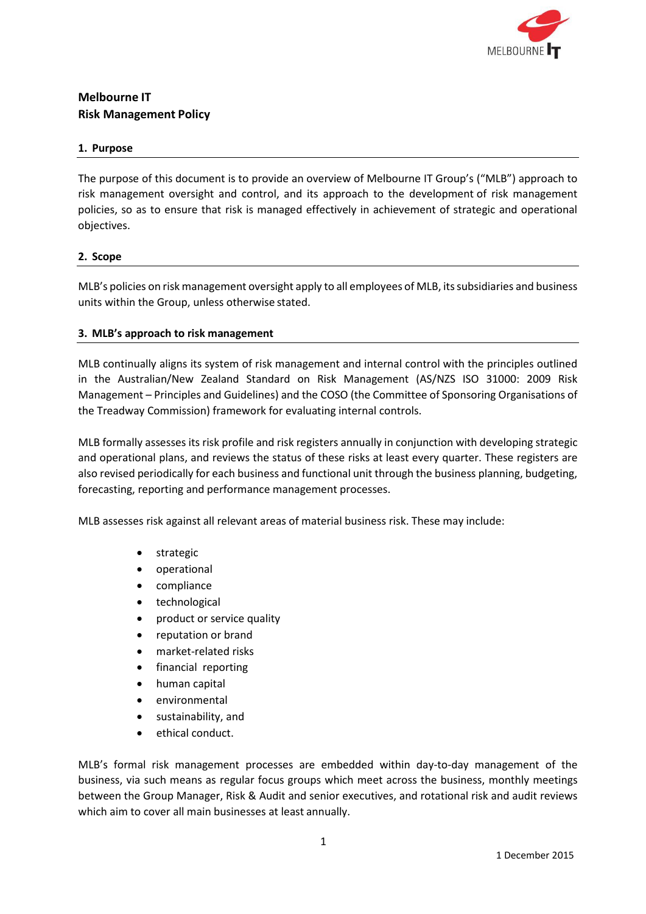

# **Melbourne IT Risk Management Policy**

### **1. Purpose**

The purpose of this document is to provide an overview of Melbourne IT Group's ("MLB") approach to risk management oversight and control, and its approach to the development of risk management policies, so as to ensure that risk is managed effectively in achievement of strategic and operational objectives.

## **2. Scope**

MLB's policies on risk management oversight apply to all employees of MLB, itssubsidiaries and business units within the Group, unless otherwise stated.

## **3. MLB's approach to risk management**

MLB continually aligns its system of risk management and internal control with the principles outlined in the Australian/New Zealand Standard on Risk Management (AS/NZS ISO 31000: 2009 Risk Management – Principles and Guidelines) and the COSO (the Committee of Sponsoring Organisations of the Treadway Commission) framework for evaluating internal controls.

MLB formally assesses its risk profile and risk registers annually in conjunction with developing strategic and operational plans, and reviews the status of these risks at least every quarter. These registers are also revised periodically for each business and functional unit through the business planning, budgeting, forecasting, reporting and performance management processes.

MLB assesses risk against all relevant areas of material business risk. These may include:

- strategic
- operational
- compliance
- technological
- product or service quality
- reputation or brand
- market-related risks
- financial reporting
- human capital
- environmental
- sustainability, and
- ethical conduct.

MLB's formal risk management processes are embedded within day-to-day management of the business, via such means as regular focus groups which meet across the business, monthly meetings between the Group Manager, Risk & Audit and senior executives, and rotational risk and audit reviews which aim to cover all main businesses at least annually.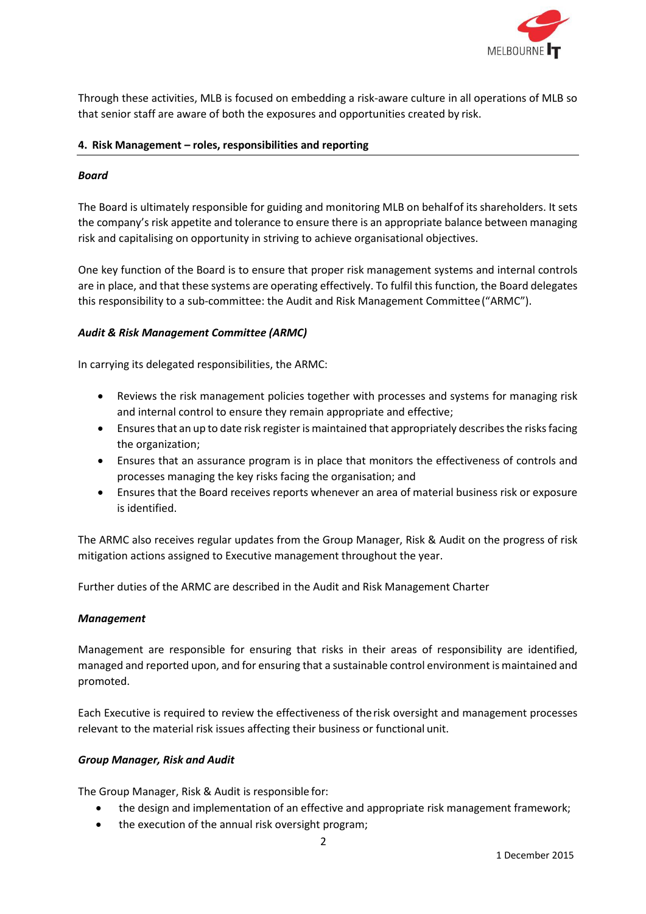

Through these activities, MLB is focused on embedding a risk-aware culture in all operations of MLB so that senior staff are aware of both the exposures and opportunities created by risk.

### **4. Risk Management – roles, responsibilities and reporting**

### *Board*

The Board is ultimately responsible for guiding and monitoring MLB on behalfof its shareholders. It sets the company's risk appetite and tolerance to ensure there is an appropriate balance between managing risk and capitalising on opportunity in striving to achieve organisational objectives.

One key function of the Board is to ensure that proper risk management systems and internal controls are in place, and that these systems are operating effectively. To fulfil this function, the Board delegates this responsibility to a sub-committee: the Audit and Risk Management Committee("ARMC").

## *Audit & Risk Management Committee (ARMC)*

In carrying its delegated responsibilities, the ARMC:

- Reviews the risk management policies together with processes and systems for managing risk and internal control to ensure they remain appropriate and effective;
- Ensures that an up to date risk register is maintained that appropriately describes the risks facing the organization;
- Ensures that an assurance program is in place that monitors the effectiveness of controls and processes managing the key risks facing the organisation; and
- Ensures that the Board receives reports whenever an area of material business risk or exposure is identified.

The ARMC also receives regular updates from the Group Manager, Risk & Audit on the progress of risk mitigation actions assigned to Executive management throughout the year.

Further duties of the ARMC are described in the Audit and Risk Management Charter

#### *Management*

Management are responsible for ensuring that risks in their areas of responsibility are identified, managed and reported upon, and for ensuring that a sustainable control environment is maintained and promoted.

Each Executive is required to review the effectiveness of therisk oversight and management processes relevant to the material risk issues affecting their business or functional unit.

#### *Group Manager, Risk and Audit*

The Group Manager, Risk & Audit is responsible for:

- the design and implementation of an effective and appropriate risk management framework;
- the execution of the annual risk oversight program;